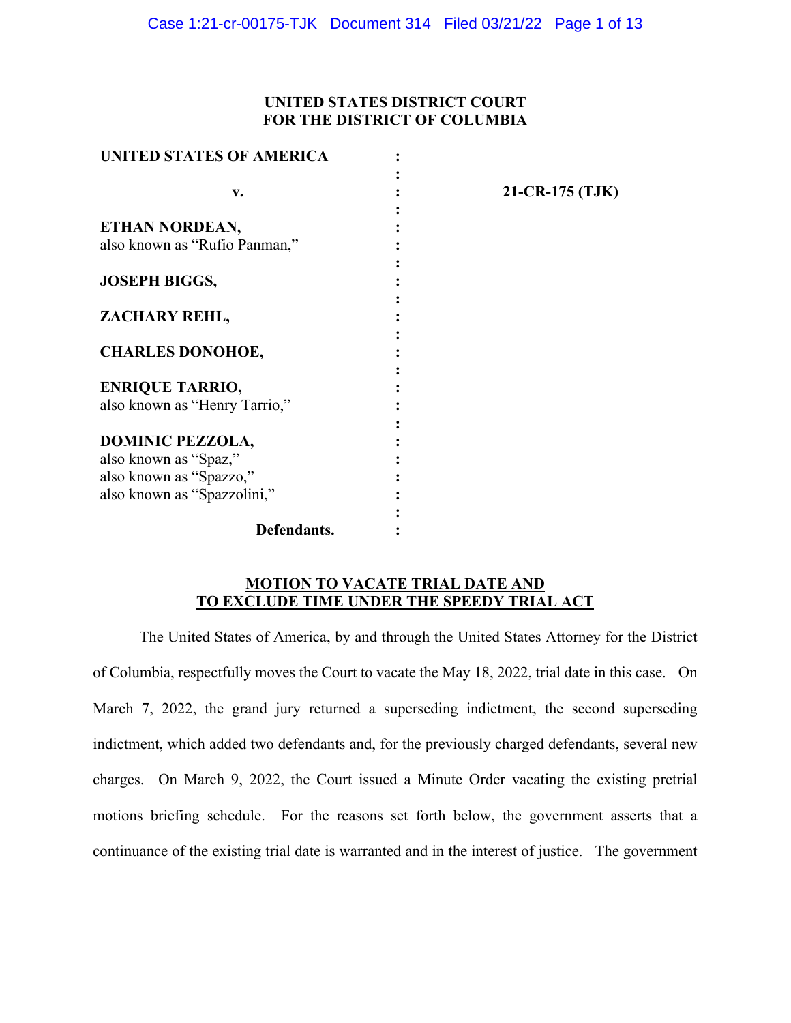# **UNITED STATES DISTRICT COURT FOR THE DISTRICT OF COLUMBIA**

| <b>UNITED STATES OF AMERICA</b> |                 |
|---------------------------------|-----------------|
|                                 |                 |
| v.                              | 21-CR-175 (TJK) |
|                                 |                 |
| ETHAN NORDEAN,                  |                 |
| also known as "Rufio Panman,"   |                 |
|                                 |                 |
| <b>JOSEPH BIGGS,</b>            |                 |
|                                 |                 |
| ZACHARY REHL,                   |                 |
|                                 |                 |
| <b>CHARLES DONOHOE,</b>         |                 |
|                                 |                 |
| <b>ENRIQUE TARRIO,</b>          |                 |
| also known as "Henry Tarrio,"   |                 |
|                                 |                 |
| <b>DOMINIC PEZZOLA,</b>         |                 |
| also known as "Spaz,"           |                 |
| also known as "Spazzo,"         |                 |
| also known as "Spazzolini,"     |                 |
|                                 |                 |
| Defendants.                     |                 |

# **MOTION TO VACATE TRIAL DATE AND TO EXCLUDE TIME UNDER THE SPEEDY TRIAL ACT**

The United States of America, by and through the United States Attorney for the District of Columbia, respectfully moves the Court to vacate the May 18, 2022, trial date in this case. On March 7, 2022, the grand jury returned a superseding indictment, the second superseding indictment, which added two defendants and, for the previously charged defendants, several new charges. On March 9, 2022, the Court issued a Minute Order vacating the existing pretrial motions briefing schedule. For the reasons set forth below, the government asserts that a continuance of the existing trial date is warranted and in the interest of justice. The government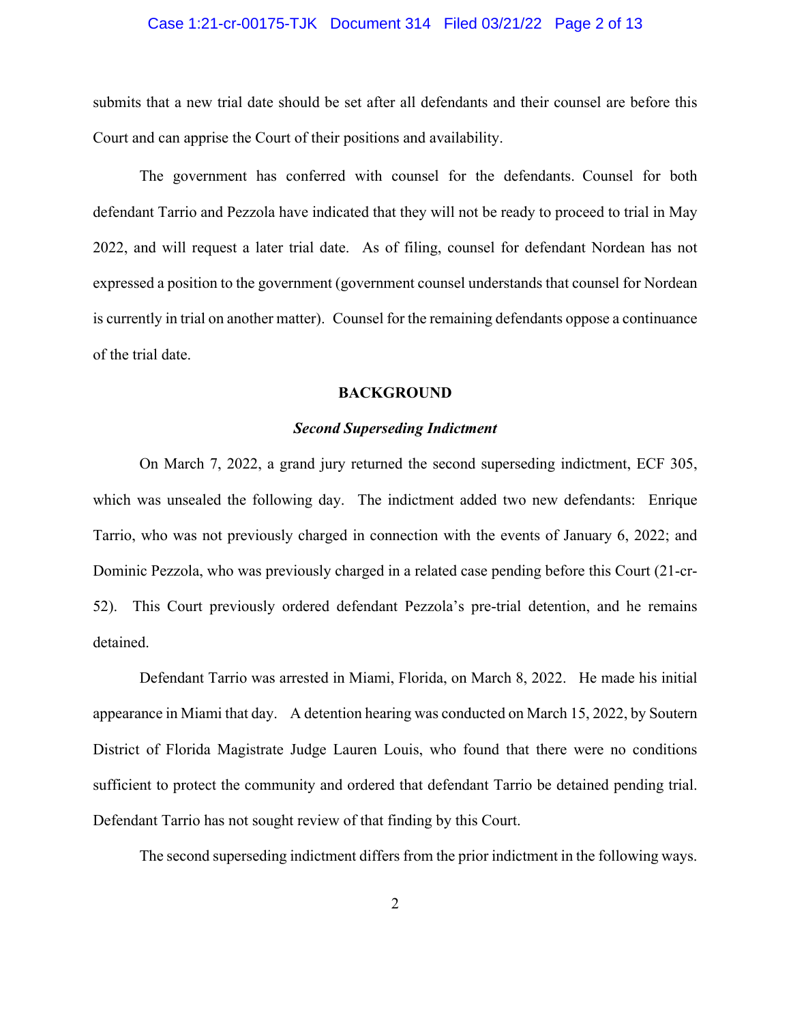### Case 1:21-cr-00175-TJK Document 314 Filed 03/21/22 Page 2 of 13

submits that a new trial date should be set after all defendants and their counsel are before this Court and can apprise the Court of their positions and availability.

The government has conferred with counsel for the defendants. Counsel for both defendant Tarrio and Pezzola have indicated that they will not be ready to proceed to trial in May 2022, and will request a later trial date. As of filing, counsel for defendant Nordean has not expressed a position to the government (government counsel understands that counsel for Nordean is currently in trial on another matter). Counsel for the remaining defendants oppose a continuance of the trial date.

#### **BACKGROUND**

### *Second Superseding Indictment*

On March 7, 2022, a grand jury returned the second superseding indictment, ECF 305, which was unsealed the following day. The indictment added two new defendants: Enrique Tarrio, who was not previously charged in connection with the events of January 6, 2022; and Dominic Pezzola, who was previously charged in a related case pending before this Court (21-cr-52). This Court previously ordered defendant Pezzola's pre-trial detention, and he remains detained.

Defendant Tarrio was arrested in Miami, Florida, on March 8, 2022. He made his initial appearance in Miami that day. A detention hearing was conducted on March 15, 2022, by Soutern District of Florida Magistrate Judge Lauren Louis, who found that there were no conditions sufficient to protect the community and ordered that defendant Tarrio be detained pending trial. Defendant Tarrio has not sought review of that finding by this Court.

The second superseding indictment differs from the prior indictment in the following ways.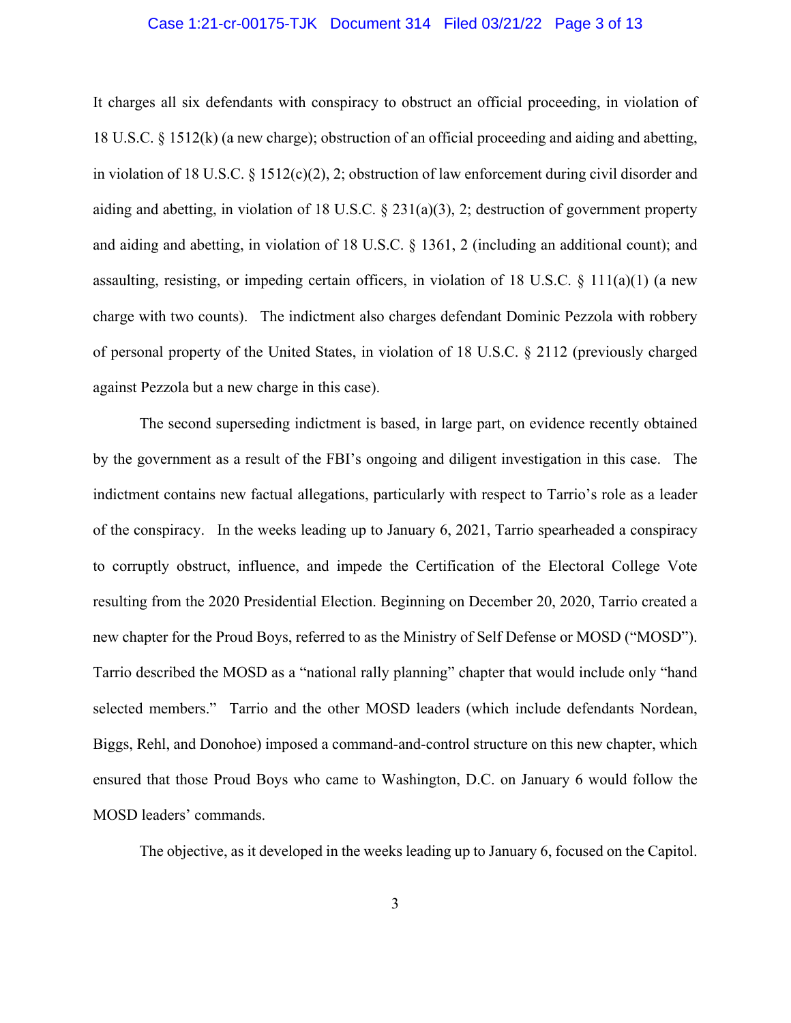#### Case 1:21-cr-00175-TJK Document 314 Filed 03/21/22 Page 3 of 13

It charges all six defendants with conspiracy to obstruct an official proceeding, in violation of 18 U.S.C. § 1512(k) (a new charge); obstruction of an official proceeding and aiding and abetting, in violation of 18 U.S.C. § 1512(c)(2), 2; obstruction of law enforcement during civil disorder and aiding and abetting, in violation of 18 U.S.C. § 231(a)(3), 2; destruction of government property and aiding and abetting, in violation of 18 U.S.C. § 1361, 2 (including an additional count); and assaulting, resisting, or impeding certain officers, in violation of 18 U.S.C. § 111(a)(1) (a new charge with two counts). The indictment also charges defendant Dominic Pezzola with robbery of personal property of the United States, in violation of 18 U.S.C. § 2112 (previously charged against Pezzola but a new charge in this case).

The second superseding indictment is based, in large part, on evidence recently obtained by the government as a result of the FBI's ongoing and diligent investigation in this case. The indictment contains new factual allegations, particularly with respect to Tarrio's role as a leader of the conspiracy. In the weeks leading up to January 6, 2021, Tarrio spearheaded a conspiracy to corruptly obstruct, influence, and impede the Certification of the Electoral College Vote resulting from the 2020 Presidential Election. Beginning on December 20, 2020, Tarrio created a new chapter for the Proud Boys, referred to as the Ministry of Self Defense or MOSD ("MOSD"). Tarrio described the MOSD as a "national rally planning" chapter that would include only "hand selected members." Tarrio and the other MOSD leaders (which include defendants Nordean, Biggs, Rehl, and Donohoe) imposed a command-and-control structure on this new chapter, which ensured that those Proud Boys who came to Washington, D.C. on January 6 would follow the MOSD leaders' commands.

The objective, as it developed in the weeks leading up to January 6, focused on the Capitol.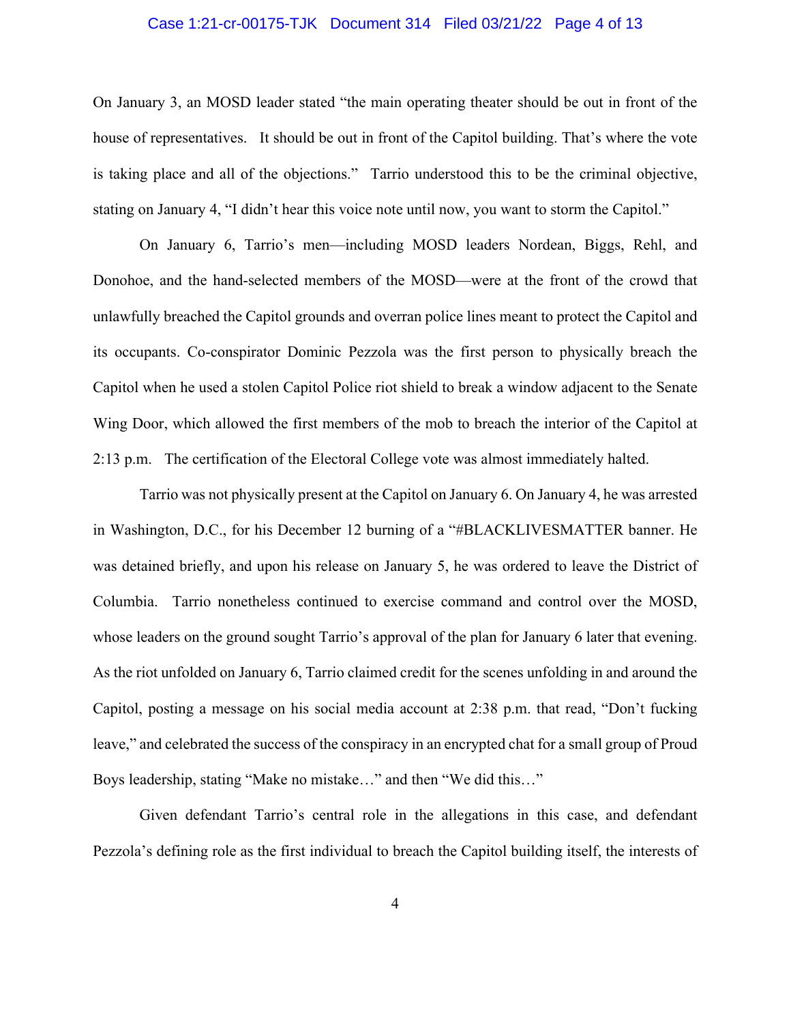#### Case 1:21-cr-00175-TJK Document 314 Filed 03/21/22 Page 4 of 13

On January 3, an MOSD leader stated "the main operating theater should be out in front of the house of representatives. It should be out in front of the Capitol building. That's where the vote is taking place and all of the objections." Tarrio understood this to be the criminal objective, stating on January 4, "I didn't hear this voice note until now, you want to storm the Capitol."

On January 6, Tarrio's men—including MOSD leaders Nordean, Biggs, Rehl, and Donohoe, and the hand-selected members of the MOSD—were at the front of the crowd that unlawfully breached the Capitol grounds and overran police lines meant to protect the Capitol and its occupants. Co-conspirator Dominic Pezzola was the first person to physically breach the Capitol when he used a stolen Capitol Police riot shield to break a window adjacent to the Senate Wing Door, which allowed the first members of the mob to breach the interior of the Capitol at 2:13 p.m. The certification of the Electoral College vote was almost immediately halted.

Tarrio was not physically present at the Capitol on January 6. On January 4, he was arrested in Washington, D.C., for his December 12 burning of a "#BLACKLIVESMATTER banner. He was detained briefly, and upon his release on January 5, he was ordered to leave the District of Columbia. Tarrio nonetheless continued to exercise command and control over the MOSD, whose leaders on the ground sought Tarrio's approval of the plan for January 6 later that evening. As the riot unfolded on January 6, Tarrio claimed credit for the scenes unfolding in and around the Capitol, posting a message on his social media account at 2:38 p.m. that read, "Don't fucking leave," and celebrated the success of the conspiracy in an encrypted chat for a small group of Proud Boys leadership, stating "Make no mistake…" and then "We did this…"

Given defendant Tarrio's central role in the allegations in this case, and defendant Pezzola's defining role as the first individual to breach the Capitol building itself, the interests of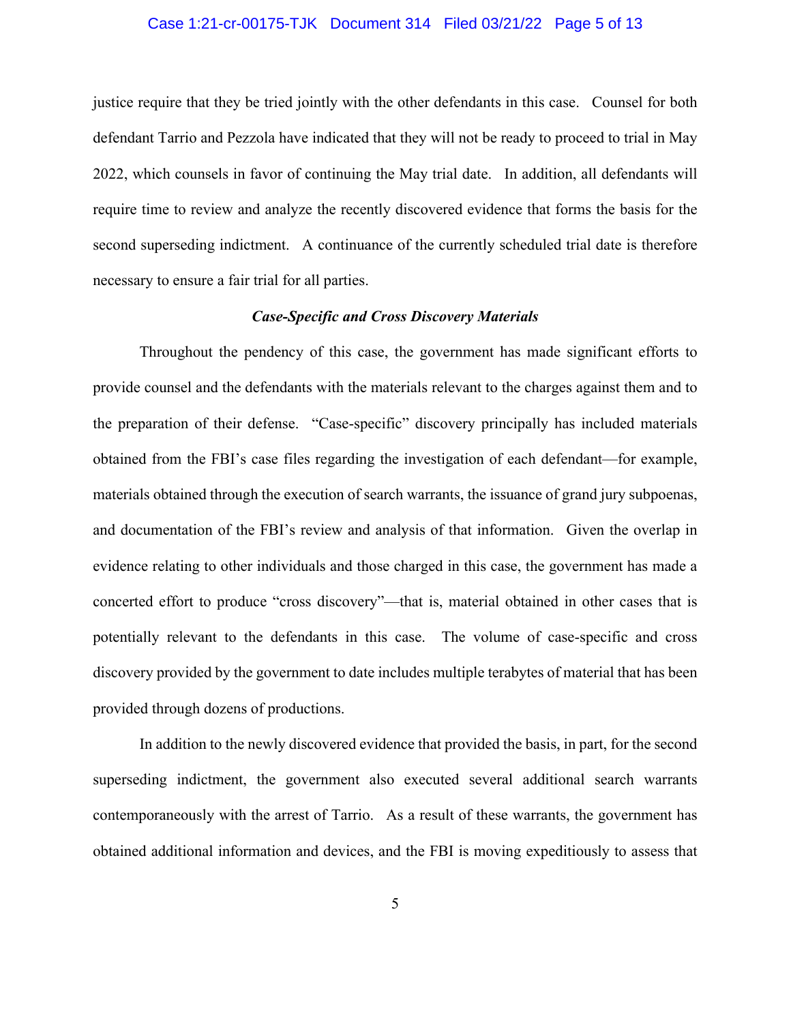### Case 1:21-cr-00175-TJK Document 314 Filed 03/21/22 Page 5 of 13

justice require that they be tried jointly with the other defendants in this case. Counsel for both defendant Tarrio and Pezzola have indicated that they will not be ready to proceed to trial in May 2022, which counsels in favor of continuing the May trial date. In addition, all defendants will require time to review and analyze the recently discovered evidence that forms the basis for the second superseding indictment. A continuance of the currently scheduled trial date is therefore necessary to ensure a fair trial for all parties.

### *Case-Specific and Cross Discovery Materials*

Throughout the pendency of this case, the government has made significant efforts to provide counsel and the defendants with the materials relevant to the charges against them and to the preparation of their defense. "Case-specific" discovery principally has included materials obtained from the FBI's case files regarding the investigation of each defendant—for example, materials obtained through the execution of search warrants, the issuance of grand jury subpoenas, and documentation of the FBI's review and analysis of that information. Given the overlap in evidence relating to other individuals and those charged in this case, the government has made a concerted effort to produce "cross discovery"—that is, material obtained in other cases that is potentially relevant to the defendants in this case. The volume of case-specific and cross discovery provided by the government to date includes multiple terabytes of material that has been provided through dozens of productions.

In addition to the newly discovered evidence that provided the basis, in part, for the second superseding indictment, the government also executed several additional search warrants contemporaneously with the arrest of Tarrio. As a result of these warrants, the government has obtained additional information and devices, and the FBI is moving expeditiously to assess that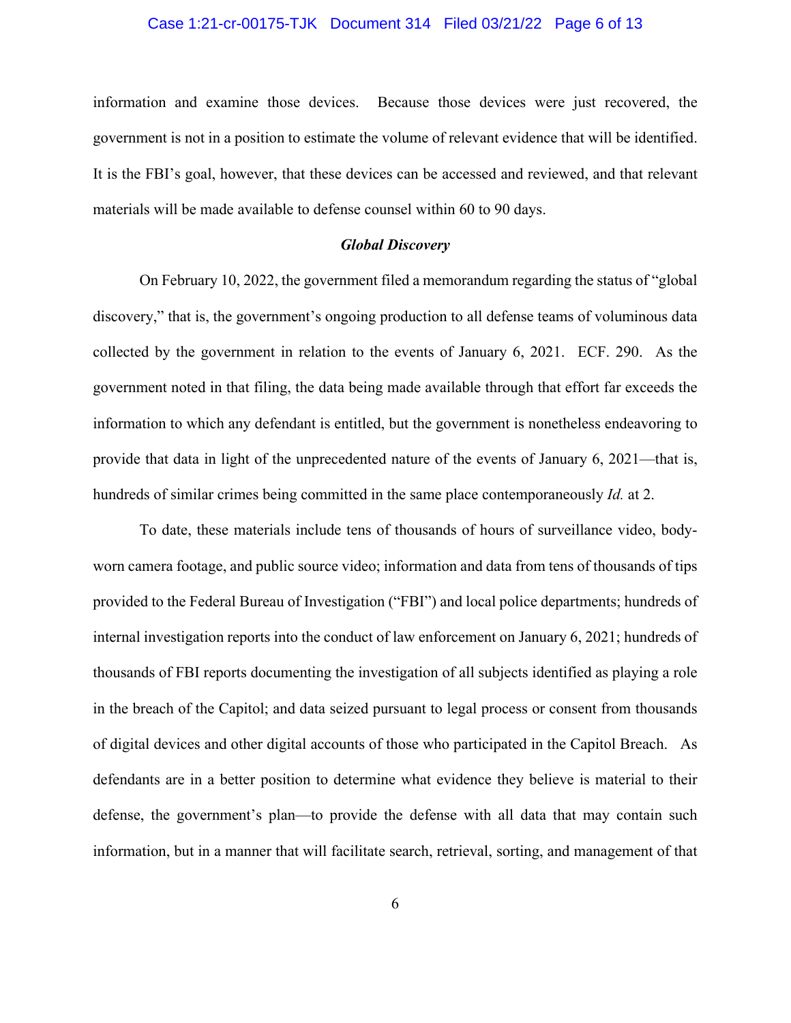#### Case 1:21-cr-00175-TJK Document 314 Filed 03/21/22 Page 6 of 13

information and examine those devices. Because those devices were just recovered, the government is not in a position to estimate the volume of relevant evidence that will be identified. It is the FBI's goal, however, that these devices can be accessed and reviewed, and that relevant materials will be made available to defense counsel within 60 to 90 days.

#### *Global Discovery*

On February 10, 2022, the government filed a memorandum regarding the status of "global discovery," that is, the government's ongoing production to all defense teams of voluminous data collected by the government in relation to the events of January 6, 2021. ECF. 290. As the government noted in that filing, the data being made available through that effort far exceeds the information to which any defendant is entitled, but the government is nonetheless endeavoring to provide that data in light of the unprecedented nature of the events of January 6, 2021—that is, hundreds of similar crimes being committed in the same place contemporaneously *Id.* at 2.

To date, these materials include tens of thousands of hours of surveillance video, bodyworn camera footage, and public source video; information and data from tens of thousands of tips provided to the Federal Bureau of Investigation ("FBI") and local police departments; hundreds of internal investigation reports into the conduct of law enforcement on January 6, 2021; hundreds of thousands of FBI reports documenting the investigation of all subjects identified as playing a role in the breach of the Capitol; and data seized pursuant to legal process or consent from thousands of digital devices and other digital accounts of those who participated in the Capitol Breach. As defendants are in a better position to determine what evidence they believe is material to their defense, the government's plan—to provide the defense with all data that may contain such information, but in a manner that will facilitate search, retrieval, sorting, and management of that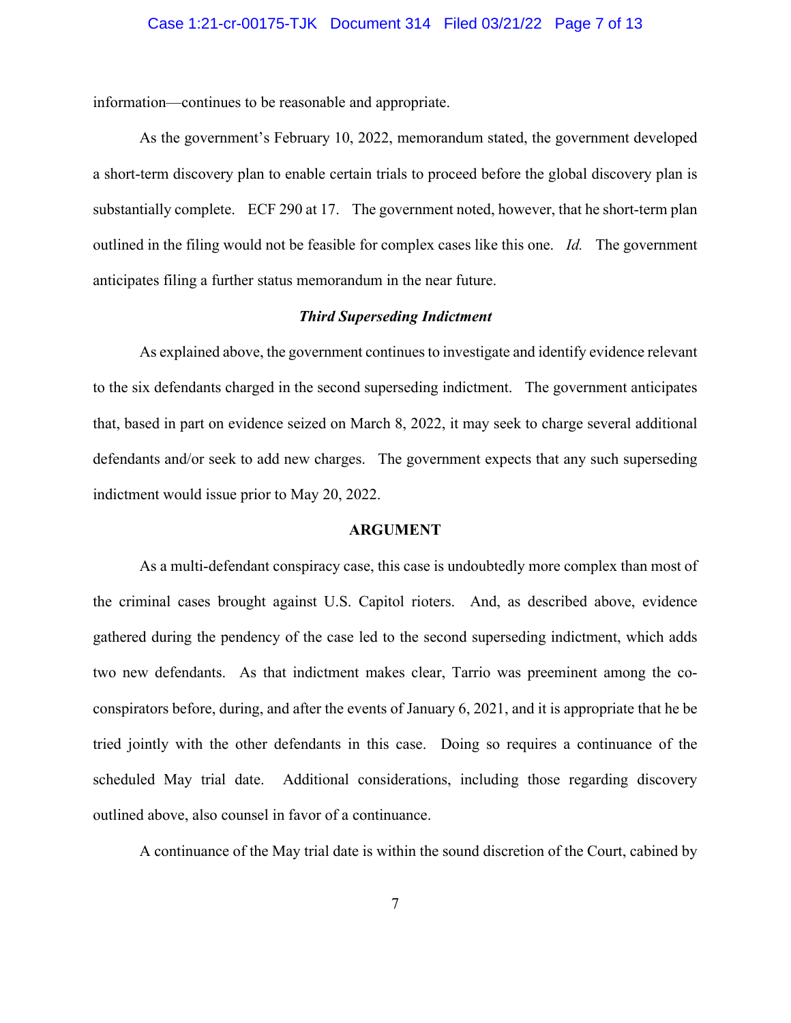information—continues to be reasonable and appropriate.

As the government's February 10, 2022, memorandum stated, the government developed a short-term discovery plan to enable certain trials to proceed before the global discovery plan is substantially complete. ECF 290 at 17. The government noted, however, that he short-term plan outlined in the filing would not be feasible for complex cases like this one. *Id.* The government anticipates filing a further status memorandum in the near future.

### *Third Superseding Indictment*

As explained above, the government continues to investigate and identify evidence relevant to the six defendants charged in the second superseding indictment. The government anticipates that, based in part on evidence seized on March 8, 2022, it may seek to charge several additional defendants and/or seek to add new charges. The government expects that any such superseding indictment would issue prior to May 20, 2022.

#### **ARGUMENT**

As a multi-defendant conspiracy case, this case is undoubtedly more complex than most of the criminal cases brought against U.S. Capitol rioters. And, as described above, evidence gathered during the pendency of the case led to the second superseding indictment, which adds two new defendants. As that indictment makes clear, Tarrio was preeminent among the coconspirators before, during, and after the events of January 6, 2021, and it is appropriate that he be tried jointly with the other defendants in this case. Doing so requires a continuance of the scheduled May trial date. Additional considerations, including those regarding discovery outlined above, also counsel in favor of a continuance.

A continuance of the May trial date is within the sound discretion of the Court, cabined by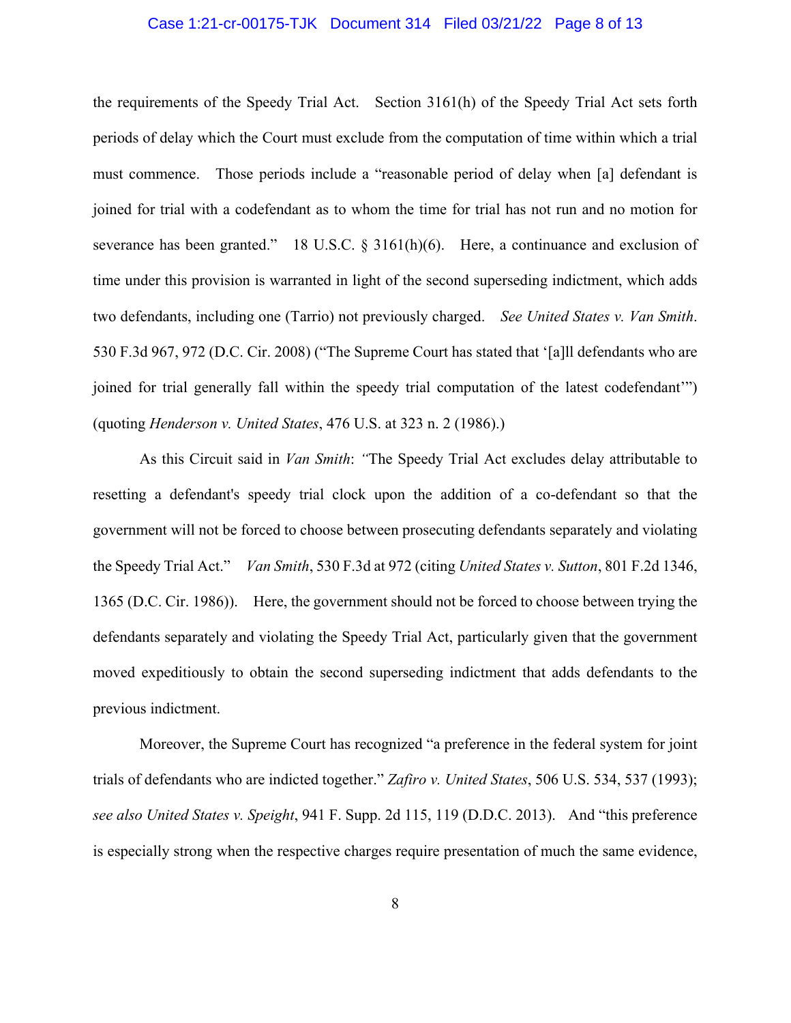#### Case 1:21-cr-00175-TJK Document 314 Filed 03/21/22 Page 8 of 13

the requirements of the Speedy Trial Act. Section 3161(h) of the Speedy Trial Act sets forth periods of delay which the Court must exclude from the computation of time within which a trial must commence. Those periods include a "reasonable period of delay when [a] defendant is joined for trial with a codefendant as to whom the time for trial has not run and no motion for severance has been granted." 18 U.S.C. § 3161(h)(6). Here, a continuance and exclusion of time under this provision is warranted in light of the second superseding indictment, which adds two defendants, including one (Tarrio) not previously charged. *See United States v. Van Smith*. 530 F.3d 967, 972 (D.C. Cir. 2008) ("The Supreme Court has stated that '[a]ll defendants who are joined for trial generally fall within the speedy trial computation of the latest codefendant'") (quoting *Henderson v. United States*, 476 U.S. at 323 n. 2 (1986).)

As this Circuit said in *Van Smith*: *"*The Speedy Trial Act excludes delay attributable to resetting a defendant's speedy trial clock upon the addition of a co-defendant so that the government will not be forced to choose between prosecuting defendants separately and violating the Speedy Trial Act." *Van Smith*, 530 F.3d at 972 (citing *United States v. Sutton*, 801 F.2d 1346, 1365 (D.C. Cir. 1986)). Here, the government should not be forced to choose between trying the defendants separately and violating the Speedy Trial Act, particularly given that the government moved expeditiously to obtain the second superseding indictment that adds defendants to the previous indictment.

Moreover, the Supreme Court has recognized "a preference in the federal system for joint trials of defendants who are indicted together." *Zafiro v. United States*, 506 U.S. 534, 537 (1993); *see also United States v. Speight*, 941 F. Supp. 2d 115, 119 (D.D.C. 2013). And "this preference is especially strong when the respective charges require presentation of much the same evidence,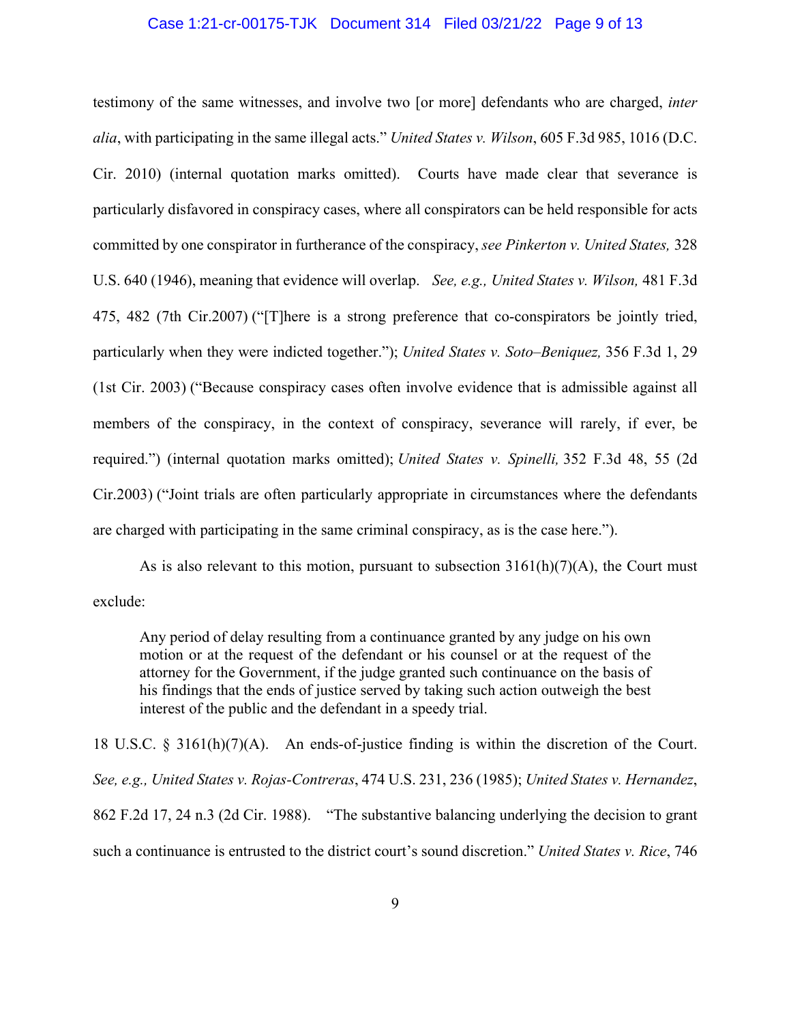#### Case 1:21-cr-00175-TJK Document 314 Filed 03/21/22 Page 9 of 13

testimony of the same witnesses, and involve two [or more] defendants who are charged, *inter alia*, with participating in the same illegal acts." *United States v. Wilson*, 605 F.3d 985, 1016 (D.C. Cir. 2010) (internal quotation marks omitted). Courts have made clear that severance is particularly disfavored in conspiracy cases, where all conspirators can be held responsible for acts committed by one conspirator in furtherance of the conspiracy, *see Pinkerton v. United States,* 328 U.S. 640 (1946), meaning that evidence will overlap. *See, e.g., United States v. Wilson,* 481 F.3d 475, 482 (7th Cir.2007) ("[T]here is a strong preference that co-conspirators be jointly tried, particularly when they were indicted together."); *United States v. Soto–Beniquez,* 356 F.3d 1, 29 (1st Cir. 2003) ("Because conspiracy cases often involve evidence that is admissible against all members of the conspiracy, in the context of conspiracy, severance will rarely, if ever, be required.") (internal quotation marks omitted); *United States v. Spinelli,* 352 F.3d 48, 55 (2d Cir.2003) ("Joint trials are often particularly appropriate in circumstances where the defendants are charged with participating in the same criminal conspiracy, as is the case here.").

As is also relevant to this motion, pursuant to subsection  $3161(h)(7)(A)$ , the Court must exclude:

Any period of delay resulting from a continuance granted by any judge on his own motion or at the request of the defendant or his counsel or at the request of the attorney for the Government, if the judge granted such continuance on the basis of his findings that the ends of justice served by taking such action outweigh the best interest of the public and the defendant in a speedy trial.

18 U.S.C. § 3161(h)(7)(A). An ends-of-justice finding is within the discretion of the Court. *See, e.g., United States v. Rojas-Contreras*, 474 U.S. 231, 236 (1985); *United States v. Hernandez*, 862 F.2d 17, 24 n.3 (2d Cir. 1988). "The substantive balancing underlying the decision to grant such a continuance is entrusted to the district court's sound discretion." *United States v. Rice*, 746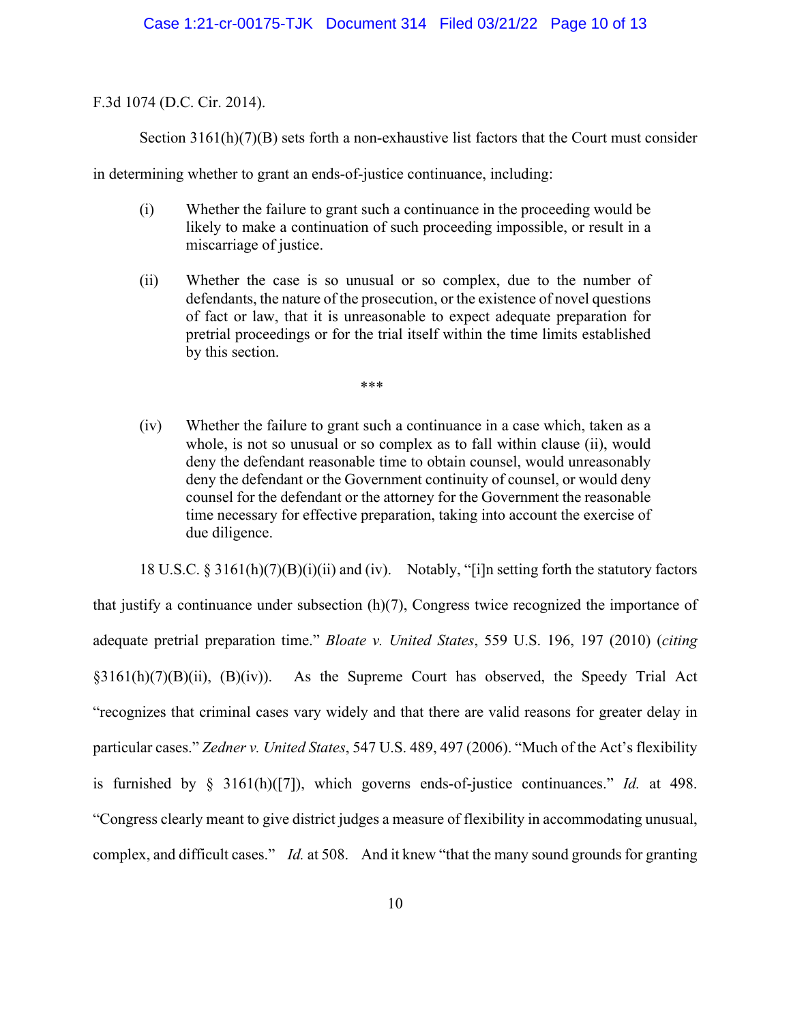F.3d 1074 (D.C. Cir. 2014).

Section  $3161(h)(7)(B)$  sets forth a non-exhaustive list factors that the Court must consider

in determining whether to grant an ends-of-justice continuance, including:

- (i) Whether the failure to grant such a continuance in the proceeding would be likely to make a continuation of such proceeding impossible, or result in a miscarriage of justice.
- (ii) Whether the case is so unusual or so complex, due to the number of defendants, the nature of the prosecution, or the existence of novel questions of fact or law, that it is unreasonable to expect adequate preparation for pretrial proceedings or for the trial itself within the time limits established by this section.

\*\*\*

(iv) Whether the failure to grant such a continuance in a case which, taken as a whole, is not so unusual or so complex as to fall within clause (ii), would deny the defendant reasonable time to obtain counsel, would unreasonably deny the defendant or the Government continuity of counsel, or would deny counsel for the defendant or the attorney for the Government the reasonable time necessary for effective preparation, taking into account the exercise of due diligence.

18 U.S.C. § 3161(h)(7)(B)(i)(ii) and (iv). Notably, "[i]n setting forth the statutory factors that justify a continuance under subsection (h)(7), Congress twice recognized the importance of adequate pretrial preparation time." *Bloate v. United States*, 559 U.S. 196, 197 (2010) (*citing*  $\frac{3161(h)(7)(B)(ii)}{24}$ ,  $\frac{(B)(iv)}{24}$ . As the Supreme Court has observed, the Speedy Trial Act "recognizes that criminal cases vary widely and that there are valid reasons for greater delay in particular cases." *Zedner v. United States*, 547 U.S. 489, 497 (2006). "Much of the Act's flexibility is furnished by § 3161(h)([7]), which governs ends-of-justice continuances." *Id.* at 498. "Congress clearly meant to give district judges a measure of flexibility in accommodating unusual, complex, and difficult cases." *Id.* at 508. And it knew "that the many sound grounds for granting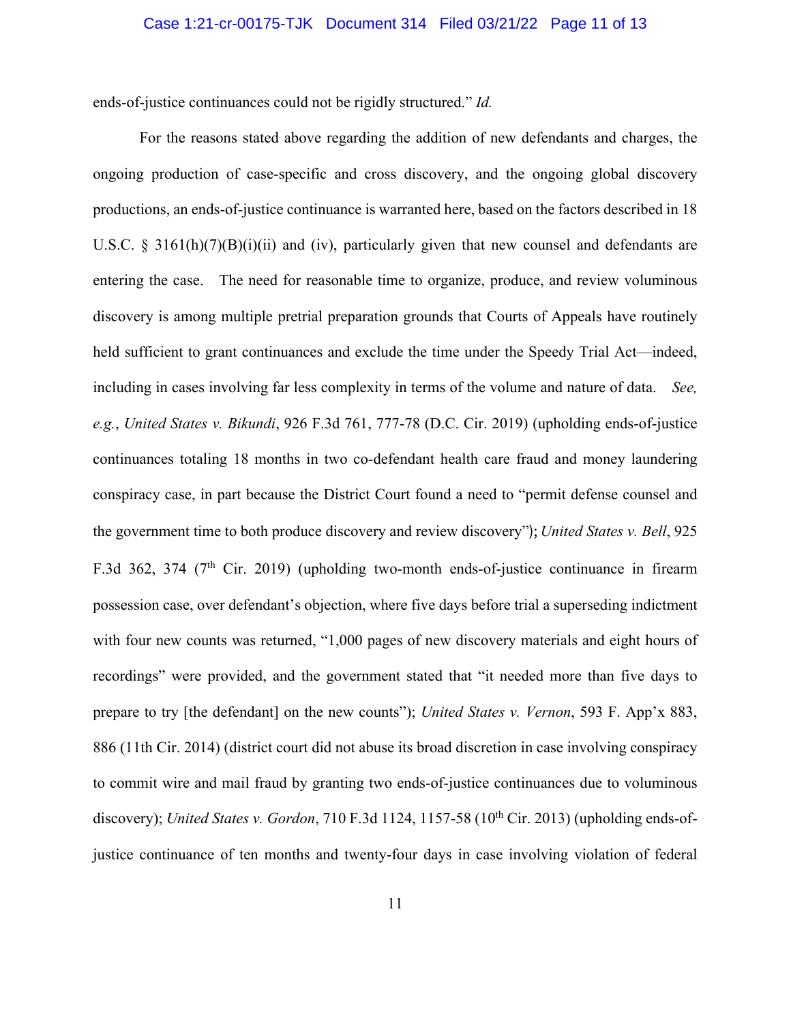#### Case 1:21-cr-00175-TJK Document 314 Filed 03/21/22 Page 11 of 13

ends-of-justice continuances could not be rigidly structured." *Id.*

For the reasons stated above regarding the addition of new defendants and charges, the ongoing production of case-specific and cross discovery, and the ongoing global discovery productions, an ends-of-justice continuance is warranted here, based on the factors described in 18 U.S.C. § 3161(h)(7)(B)(i)(ii) and (iv), particularly given that new counsel and defendants are entering the case. The need for reasonable time to organize, produce, and review voluminous discovery is among multiple pretrial preparation grounds that Courts of Appeals have routinely held sufficient to grant continuances and exclude the time under the Speedy Trial Act—indeed, including in cases involving far less complexity in terms of the volume and nature of data. *See, e.g.*, *United States v. Bikundi*, 926 F.3d 761, 777-78 (D.C. Cir. 2019) (upholding ends-of-justice continuances totaling 18 months in two co-defendant health care fraud and money laundering conspiracy case, in part because the District Court found a need to "permit defense counsel and the government time to both produce discovery and review discovery"); *United States v. Bell*, 925 F.3d 362, 374 (7<sup>th</sup> Cir. 2019) (upholding two-month ends-of-justice continuance in firearm possession case, over defendant's objection, where five days before trial a superseding indictment with four new counts was returned, "1,000 pages of new discovery materials and eight hours of recordings" were provided, and the government stated that "it needed more than five days to prepare to try [the defendant] on the new counts"); *United States v. Vernon*, 593 F. App'x 883, 886 (11th Cir. 2014) (district court did not abuse its broad discretion in case involving conspiracy to commit wire and mail fraud by granting two ends-of-justice continuances due to voluminous discovery); *United States v. Gordon*, 710 F.3d 1124, 1157-58 (10<sup>th</sup> Cir. 2013) (upholding ends-ofjustice continuance of ten months and twenty-four days in case involving violation of federal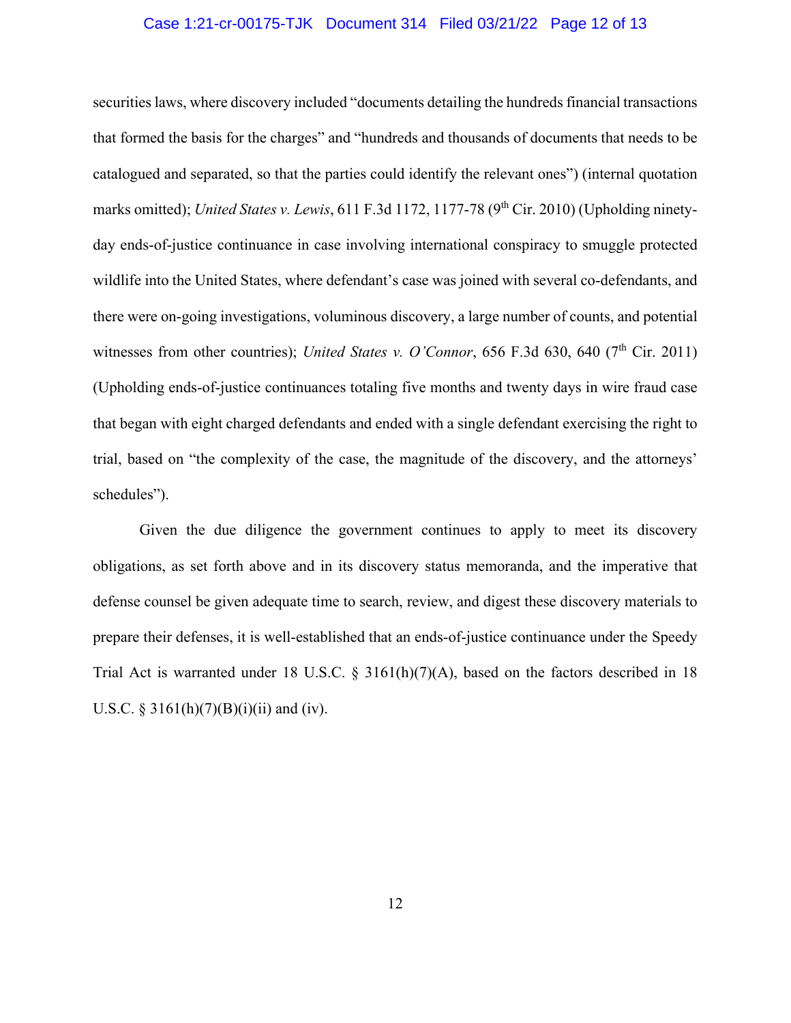#### Case 1:21-cr-00175-TJK Document 314 Filed 03/21/22 Page 12 of 13

securities laws, where discovery included "documents detailing the hundreds financial transactions that formed the basis for the charges" and "hundreds and thousands of documents that needs to be catalogued and separated, so that the parties could identify the relevant ones") (internal quotation marks omitted); *United States v. Lewis*, 611 F.3d 1172, 1177-78 (9<sup>th</sup> Cir. 2010) (Upholding ninetyday ends-of-justice continuance in case involving international conspiracy to smuggle protected wildlife into the United States, where defendant's case was joined with several co-defendants, and there were on-going investigations, voluminous discovery, a large number of counts, and potential witnesses from other countries); *United States v. O'Connor*, 656 F.3d 630, 640 (7<sup>th</sup> Cir. 2011) (Upholding ends-of-justice continuances totaling five months and twenty days in wire fraud case that began with eight charged defendants and ended with a single defendant exercising the right to trial, based on "the complexity of the case, the magnitude of the discovery, and the attorneys' schedules").

Given the due diligence the government continues to apply to meet its discovery obligations, as set forth above and in its discovery status memoranda, and the imperative that defense counsel be given adequate time to search, review, and digest these discovery materials to prepare their defenses, it is well-established that an ends-of-justice continuance under the Speedy Trial Act is warranted under 18 U.S.C. §  $3161(h)(7)(A)$ , based on the factors described in 18 U.S.C. § 3161(h)(7)(B)(i)(ii) and (iv).